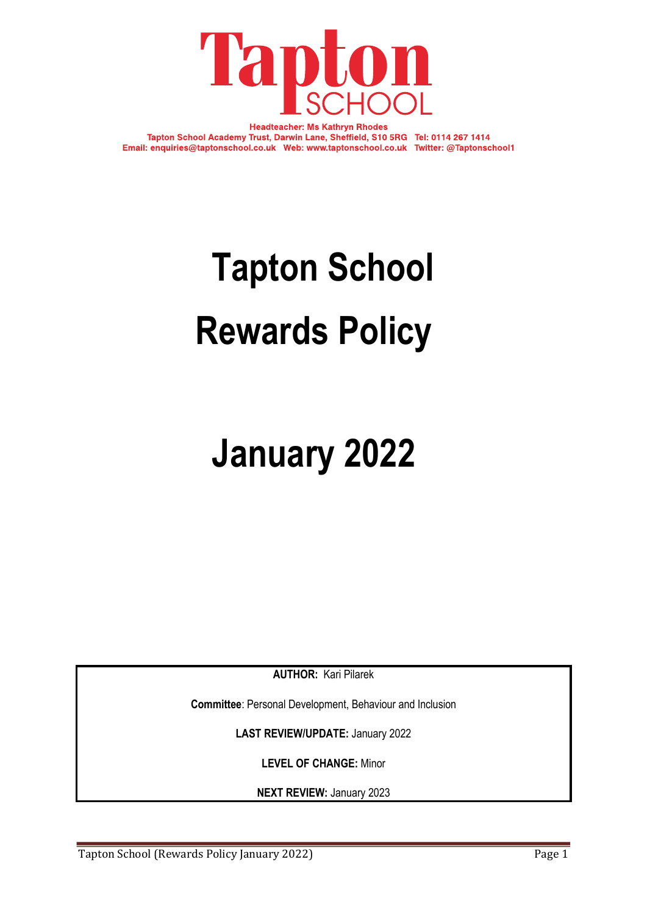

**Headteacher: Ms Kathryn Rhodes** Tapton School Academy Trust, Darwin Lane, Sheffield, S10 5RG Tel: 0114 267 1414 Email: enquiries@taptonschool.co.uk Web: www.taptonschool.co.uk Twitter: @Taptonschool1

# **Tapton School Rewards Policy**

# **January 2022**

**AUTHOR:** Kari Pilarek

**Committee**: Personal Development, Behaviour and Inclusion

**LAST REVIEW/UPDATE:** January 2022

**LEVEL OF CHANGE:** Minor

**NEXT REVIEW:** January 2023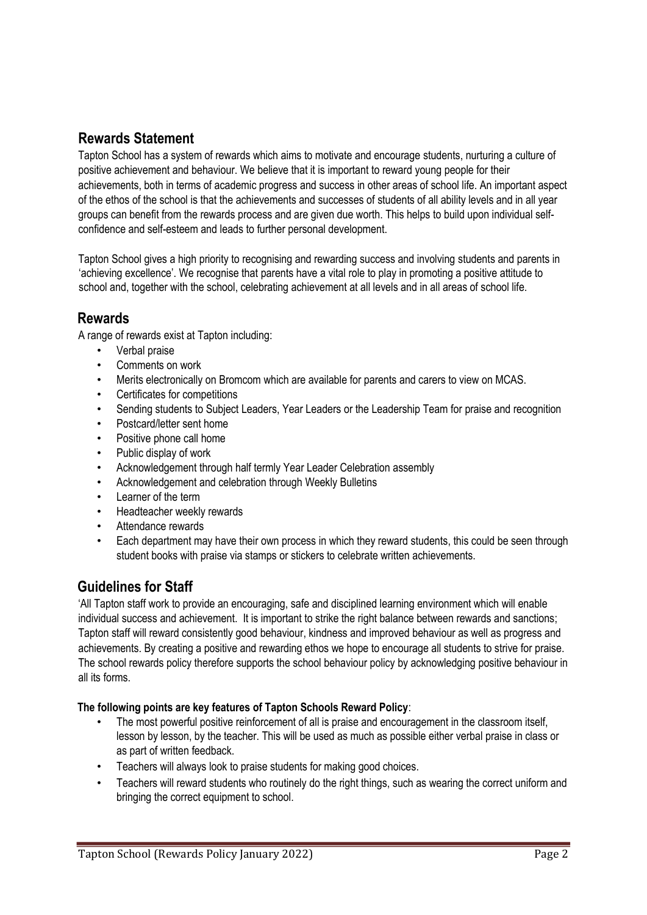# **Rewards Statement**

Tapton School has a system of rewards which aims to motivate and encourage students, nurturing a culture of positive achievement and behaviour. We believe that it is important to reward young people for their achievements, both in terms of academic progress and success in other areas of school life. An important aspect of the ethos of the school is that the achievements and successes of students of all ability levels and in all year groups can benefit from the rewards process and are given due worth. This helps to build upon individual selfconfidence and self-esteem and leads to further personal development.

Tapton School gives a high priority to recognising and rewarding success and involving students and parents in 'achieving excellence'. We recognise that parents have a vital role to play in promoting a positive attitude to school and, together with the school, celebrating achievement at all levels and in all areas of school life.

# **Rewards**

A range of rewards exist at Tapton including:

- Verbal praise
- Comments on work
- Merits electronically on Bromcom which are available for parents and carers to view on MCAS.
- Certificates for competitions
- Sending students to Subject Leaders, Year Leaders or the Leadership Team for praise and recognition
- Postcard/letter sent home
- Positive phone call home
- Public display of work
- Acknowledgement through half termly Year Leader Celebration assembly
- Acknowledgement and celebration through Weekly Bulletins
- Learner of the term
- Headteacher weekly rewards
- Attendance rewards
- Each department may have their own process in which they reward students, this could be seen through student books with praise via stamps or stickers to celebrate written achievements.

# **Guidelines for Staff**

'All Tapton staff work to provide an encouraging, safe and disciplined learning environment which will enable individual success and achievement. It is important to strike the right balance between rewards and sanctions; Tapton staff will reward consistently good behaviour, kindness and improved behaviour as well as progress and achievements. By creating a positive and rewarding ethos we hope to encourage all students to strive for praise. The school rewards policy therefore supports the school behaviour policy by acknowledging positive behaviour in all its forms.

#### **The following points are key features of Tapton Schools Reward Policy**:

- The most powerful positive reinforcement of all is praise and encouragement in the classroom itself, lesson by lesson, by the teacher. This will be used as much as possible either verbal praise in class or as part of written feedback.
- Teachers will always look to praise students for making good choices.
- Teachers will reward students who routinely do the right things, such as wearing the correct uniform and bringing the correct equipment to school.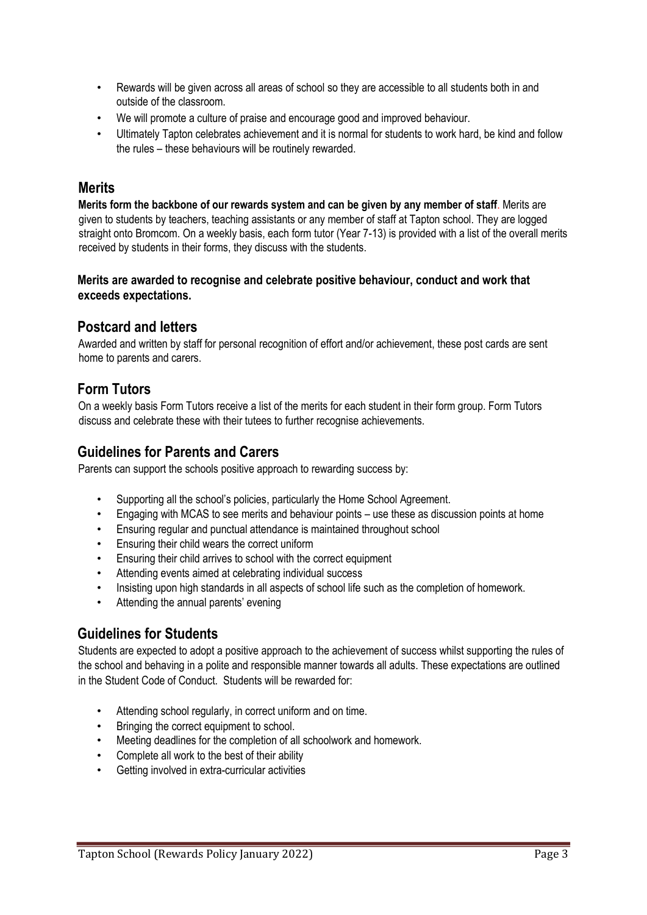- Rewards will be given across all areas of school so they are accessible to all students both in and outside of the classroom.
- We will promote a culture of praise and encourage good and improved behaviour.
- Ultimately Tapton celebrates achievement and it is normal for students to work hard, be kind and follow the rules – these behaviours will be routinely rewarded.

### **Merits**

**Merits form the backbone of our rewards system and can be given by any member of staff**. Merits are given to students by teachers, teaching assistants or any member of staff at Tapton school. They are logged straight onto Bromcom. On a weekly basis, each form tutor (Year 7-13) is provided with a list of the overall merits received by students in their forms, they discuss with the students.

#### **Merits are awarded to recognise and celebrate positive behaviour, conduct and work that exceeds expectations.**

## **Postcard and letters**

Awarded and written by staff for personal recognition of effort and/or achievement, these post cards are sent home to parents and carers.

# **Form Tutors**

On a weekly basis Form Tutors receive a list of the merits for each student in their form group. Form Tutors discuss and celebrate these with their tutees to further recognise achievements.

# **Guidelines for Parents and Carers**

Parents can support the schools positive approach to rewarding success by:

- Supporting all the school's policies, particularly the Home School Agreement.
- Engaging with MCAS to see merits and behaviour points use these as discussion points at home
- Ensuring regular and punctual attendance is maintained throughout school
- Ensuring their child wears the correct uniform
- Ensuring their child arrives to school with the correct equipment
- Attending events aimed at celebrating individual success
- Insisting upon high standards in all aspects of school life such as the completion of homework.
- Attending the annual parents' evening

# **Guidelines for Students**

Students are expected to adopt a positive approach to the achievement of success whilst supporting the rules of the school and behaving in a polite and responsible manner towards all adults. These expectations are outlined in the Student Code of Conduct. Students will be rewarded for:

- Attending school regularly, in correct uniform and on time.
- Bringing the correct equipment to school.
- Meeting deadlines for the completion of all schoolwork and homework.
- Complete all work to the best of their ability
- Getting involved in extra-curricular activities